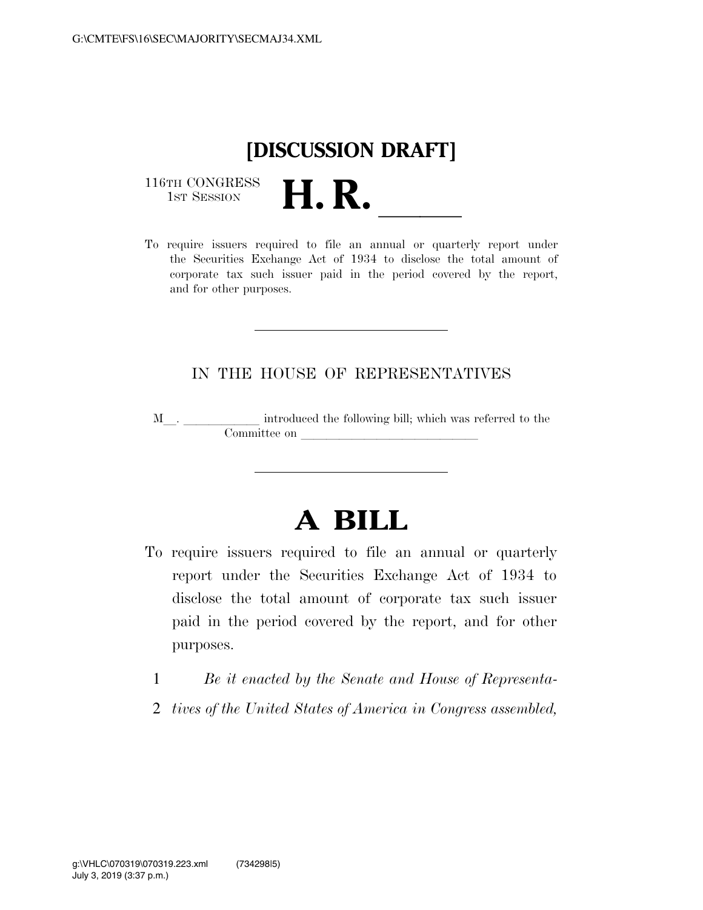

116TH CONGRESS<br>1st Session

116TH CONGRESS<br>1st SESSION<br>To require issuers required to file an annual or quarterly report under the Securities Exchange Act of 1934 to disclose the total amount of corporate tax such issuer paid in the period covered by the report, and for other purposes.

## IN THE HOUSE OF REPRESENTATIVES

M<sub>\_\_\_</sub>. \_\_\_\_\_\_\_\_\_\_\_\_\_ introduced the following bill; which was referred to the Committee on leads of  $\lambda$ 

## **A BILL**

- To require issuers required to file an annual or quarterly report under the Securities Exchange Act of 1934 to disclose the total amount of corporate tax such issuer paid in the period covered by the report, and for other purposes.
	- 1 *Be it enacted by the Senate and House of Representa-*
	- 2 *tives of the United States of America in Congress assembled,*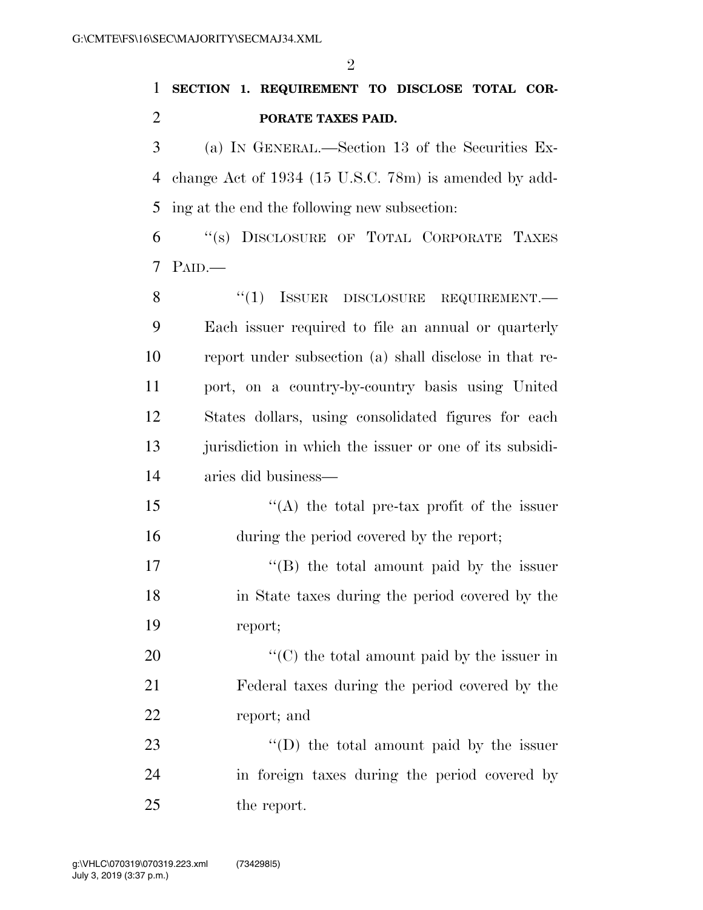## **SECTION 1. REQUIREMENT TO DISCLOSE TOTAL COR-PORATE TAXES PAID.**

 (a) IN GENERAL.—Section 13 of the Securities Ex- change Act of 1934 (15 U.S.C. 78m) is amended by add-ing at the end the following new subsection:

 ''(s) DISCLOSURE OF TOTAL CORPORATE TAXES PAID.—

8 "(1) ISSUER DISCLOSURE REQUIREMENT. Each issuer required to file an annual or quarterly report under subsection (a) shall disclose in that re- port, on a country-by-country basis using United States dollars, using consolidated figures for each jurisdiction in which the issuer or one of its subsidi-aries did business—

 ''(A) the total pre-tax profit of the issuer during the period covered by the report;

17 ''(B) the total amount paid by the issuer in State taxes during the period covered by the report;

  $\text{``(C)}$  the total amount paid by the issuer in Federal taxes during the period covered by the report; and

23 "'(D) the total amount paid by the issuer in foreign taxes during the period covered by the report.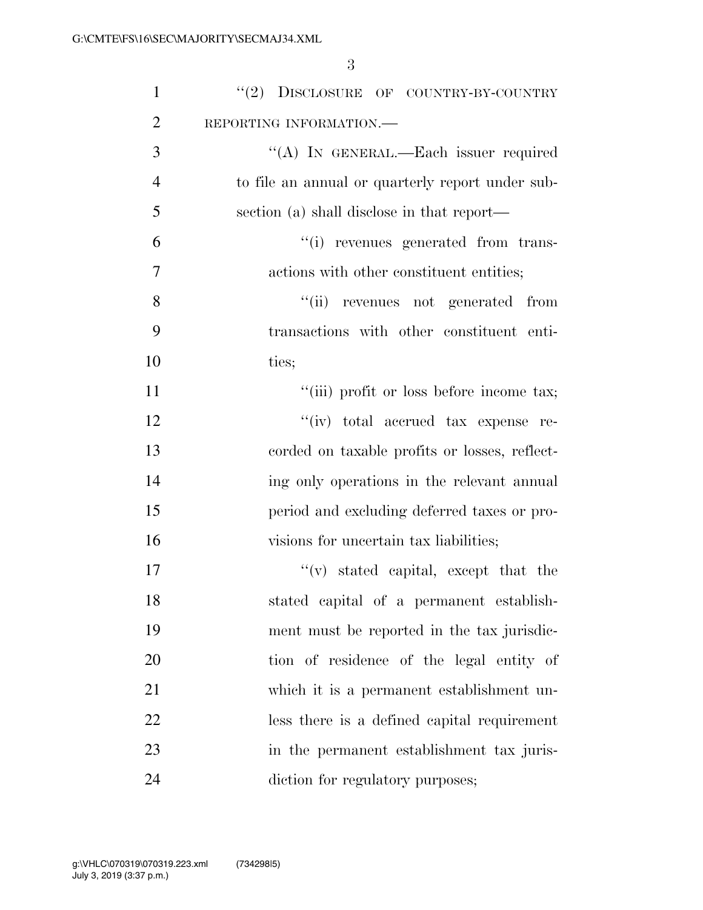| $\mathbf{1}$   | "(2) DISCLOSURE OF COUNTRY-BY-COUNTRY            |
|----------------|--------------------------------------------------|
| $\overline{2}$ | REPORTING INFORMATION.                           |
| 3              | "(A) IN GENERAL.—Each issuer required            |
| $\overline{4}$ | to file an annual or quarterly report under sub- |
| 5              | section (a) shall disclose in that report—       |
| 6              | "(i) revenues generated from trans-              |
| 7              | actions with other constituent entities;         |
| 8              | "(ii) revenues not generated from                |
| 9              | transactions with other constituent enti-        |
| 10             | ties;                                            |
| 11             | "(iii) profit or loss before income tax;         |
| 12             | "(iv) total accrued tax expense re-              |
| 13             | corded on taxable profits or losses, reflect-    |
| 14             | ing only operations in the relevant annual       |
| 15             | period and excluding deferred taxes or pro-      |
| 16             | visions for uncertain tax liabilities;           |
| 17             | $f'(v)$ stated capital, except that the          |
| 18             | stated capital of a permanent establish-         |
| 19             | ment must be reported in the tax jurisdic-       |
| 20             | tion of residence of the legal entity of         |
| 21             | which it is a permanent establishment un-        |
| 22             | less there is a defined capital requirement      |
| 23             | in the permanent establishment tax juris-        |
| 24             | diction for regulatory purposes;                 |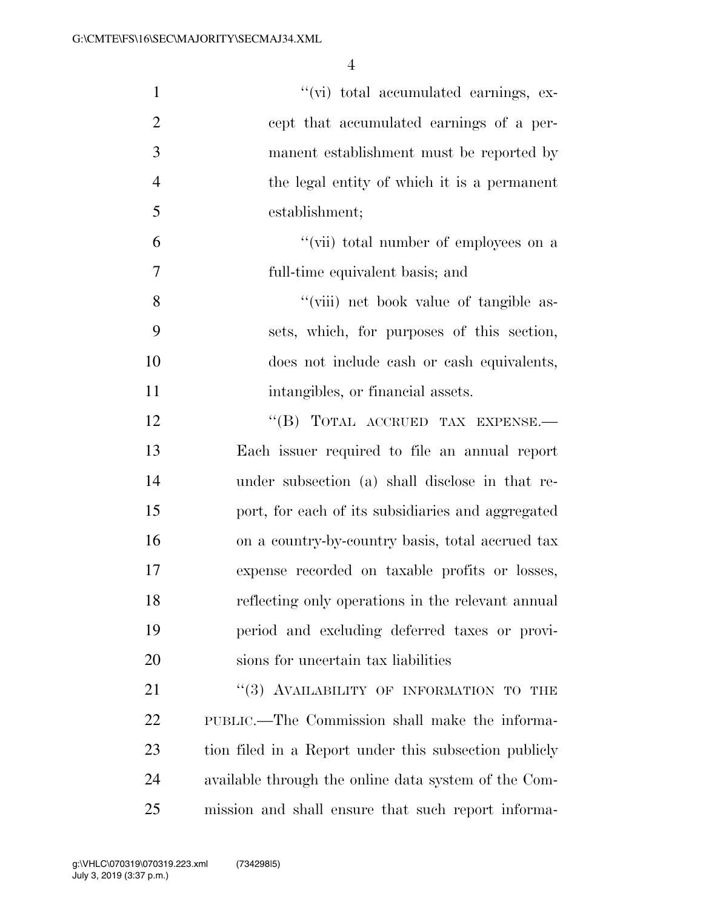| $\mathbf{1}$   | "(vi) total accumulated earnings, ex-                 |
|----------------|-------------------------------------------------------|
| $\overline{2}$ | cept that accumulated earnings of a per-              |
| 3              | manent establishment must be reported by              |
| $\overline{4}$ | the legal entity of which it is a permanent           |
| 5              | establishment;                                        |
| 6              | "(vii) total number of employees on a                 |
| 7              | full-time equivalent basis; and                       |
| 8              | "(viii) net book value of tangible as-                |
| 9              | sets, which, for purposes of this section,            |
| 10             | does not include eash or eash equivalents,            |
| 11             | intangibles, or financial assets.                     |
| 12             | "(B) TOTAL ACCRUED TAX EXPENSE.-                      |
| 13             | Each issuer required to file an annual report         |
| 14             | under subsection (a) shall disclose in that re-       |
| 15             | port, for each of its subsidiaries and aggregated     |
| 16             | on a country-by-country basis, total accrued tax      |
| 17             | expense recorded on taxable profits or losses,        |
| 18             | reflecting only operations in the relevant annual     |
| 19             | period and excluding deferred taxes or provi-         |
| 20             | sions for uncertain tax liabilities                   |
| 21             | "(3) AVAILABILITY OF INFORMATION TO THE               |
| <u>22</u>      | PUBLIC.—The Commission shall make the informa-        |
| 23             | tion filed in a Report under this subsection publicly |
| 24             | available through the online data system of the Com-  |
| 25             | mission and shall ensure that such report informa-    |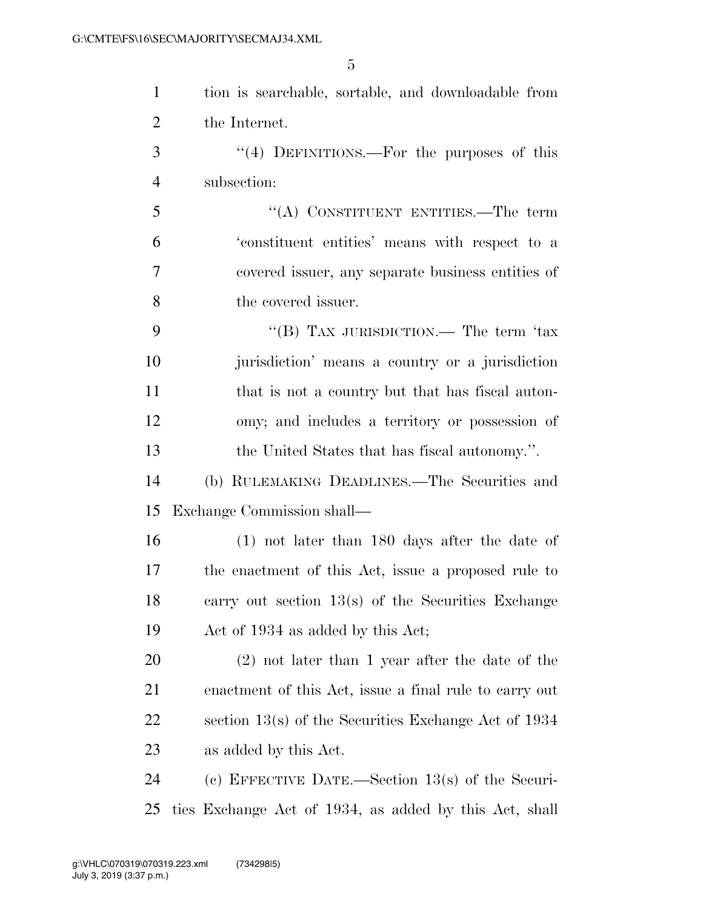| $\mathbf{1}$   | tion is searchable, sortable, and downloadable from    |
|----------------|--------------------------------------------------------|
| $\overline{2}$ | the Internet.                                          |
| 3              | $\cdot$ (4) DEFINITIONS.—For the purposes of this      |
| $\overline{4}$ | subsection:                                            |
| 5              | "(A) CONSTITUENT ENTITIES.—The term                    |
| 6              | 'constituent entities' means with respect to a         |
| 7              | covered issuer, any separate business entities of      |
| 8              | the covered issuer.                                    |
| 9              | "(B) TAX JURISDICTION.— The term 'tax                  |
| 10             | jurisdiction' means a country or a jurisdiction        |
| 11             | that is not a country but that has fiscal auton-       |
| 12             | omy; and includes a territory or possession of         |
| 13             | the United States that has fiscal autonomy.".          |
| 14             | (b) RULEMAKING DEADLINES.—The Securities and           |
| 15             | Exchange Commission shall—                             |
| 16             | $(1)$ not later than 180 days after the date of        |
| 17             | the enactment of this Act, issue a proposed rule to    |
| 18             | carry out section $13(s)$ of the Securities Exchange   |
| 19             | Act of 1934 as added by this Act;                      |
| 20             | $(2)$ not later than 1 year after the date of the      |
| 21             | enactment of this Act, issue a final rule to carry out |
| 22             | section $13(s)$ of the Securities Exchange Act of 1934 |
| 23             | as added by this Act.                                  |
| 24             | (c) EFFECTIVE DATE.—Section $13(s)$ of the Securi-     |
| 25             | ties Exchange Act of 1934, as added by this Act, shall |